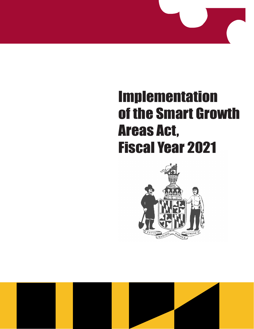# Implementation of the Smart Growth Areas Act, Fiscal Year 2021



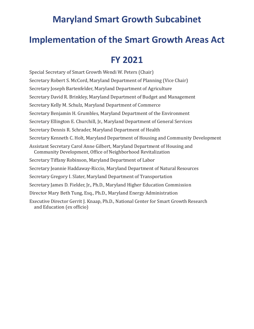### **Maryland Smart Growth Subcabinet**

### **Implementation of the Smart Growth Areas Act**

### **FY 2021**

Special Secretary of Smart Growth Wendi W. Peters (Chair) Secretary Robert S. McCord, Maryland Department of Planning (Vice Chair) Secretary Joseph Bartenfelder, Maryland Department of Agriculture Secretary David R. Brinkley, Maryland Department of Budget and Management Secretary Kelly M. Schulz, Maryland Department of Commerce Secretary Benjamin H. Grumbles, Maryland Department of the Environment Secretary Ellington E. Churchill, Jr., Maryland Department of General Services Secretary Dennis R. Schrader, Maryland Department of Health Secretary Kenneth C. Holt, Maryland Department of Housing and Community Development Assistant Secretary Carol Anne Gilbert, Maryland Department of Housing and Community Development, Office of Neighborhood Revitalization Secretary Tiffany Robinson, Maryland Department of Labor Secretary Jeannie Haddaway-Riccio, Maryland Department of Natural Resources Secretary Gregory I. Slater, Maryland Department of Transportation Secretary James D. Fielder, Jr., Ph.D., Maryland Higher Education Commission Director Mary Beth Tung, Esq., Ph.D., Maryland Energy Administration Executive Director Gerrit J. Knaap, Ph.D., National Center for Smart Growth Research and Education (ex officio)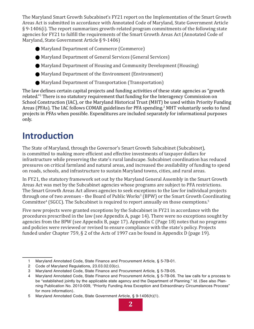The Maryland Smart Growth Subcabinet's FY21 report on the Implementation of the Smart Growth Areas Act is submitted in accordance with Annotated Code of Maryland, State Government Article § 9-1406(i). The report summarizes growth-related program commitments of the following state agencies for FY21 to fulfill the requirements of the Smart Growth Areas Act (Annotated Code of Maryland, State Government Article § 9-1406)

- Maryland Department of Commerce (Commerce)
- Maryland Department of General Services (General Services)
- Maryland Department of Housing and Community Development (Housing)
- • Maryland Department of the Environment (Environment)
- • Maryland Department of Transportation (Transportation)

The law defines certain capital projects and funding activities of these state agencies as "growth related." 1 There is no statutory requirement that funding for the Interagency Commission on School Construction (IAC), or the Maryland Historical Trust (MHT) be used within Priority Funding Areas (PFAs). The IAC follows COMAR guidelines for PFA spending.<sup>2</sup> MHT voluntarily seeks to fund projects in PFAs when possible. Expenditures are included separately for informational purposes only.

# **Introduction**

The State of Maryland, through the Governor's Smart Growth Subcabinet (Subcabinet), is committed to making more efficient and effective investments of taxpayer dollars for infrastructure while preserving the state's rural landscape. Subcabinet coordination has reduced pressures on critical farmland and natural areas, and increased the availability of funding to spend on roads, schools, and infrastructure to sustain Maryland towns, cities, and rural areas.

In FY21, the statutory framework set out by the Maryland General Assembly in the Smart Growth Areas Act was met by the Subcabinet agencies whose programs are subject to PFA restrictions. The Smart Growth Areas Act allows agencies to seek exceptions to the law for individual projects through one of two avenues - the Board of Public Works<sup>3</sup> (BPW) or the Smart Growth Coordinating  ${\tt Committee^4}$  (SGCC). The Subcabinet is required to report annually on those exemptions. $^5$ 

Five new projects were granted exceptions by the Subcabinet in FY21 in accordance with the procedures prescribed in the law (see Appendix A, page 14). There were no exceptions sought by agencies from the BPW (see Appendix B, page 17). Appendix C (Page 18) notes that no programs and policies were reviewed or revised to ensure compliance with the state's policy. Projects funded under Chapter 759, § 2 of the Acts of 1997 can be found in Appendix D (page 19).

<sup>1</sup> Maryland Annotated Code, State Finance and Procurement Article, § 5-7B-01.

<sup>2</sup> Code of Maryland Regulations, 23.03.02.03(c).

<sup>3</sup> Maryland Annotated Code, State Finance and Procurement Article, § 5-7B-05.

Maryland Annotated Code, State Finance and Procurement Article, § 5-7B-06. The law calls for a process to be "established jointly by the applicable state agency and the Department of Planning." Id. (See also Planning Publication No. 2010-009, "Priority Funding Area Exception and Extraordinary Circumstances Process" for more information).

<sup>5</sup> Maryland Annotated Code, State Government Article, § 9-1406(h)(1).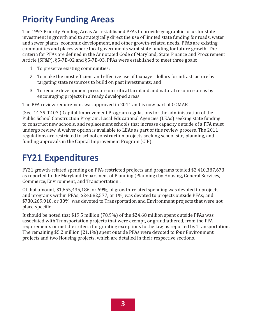# **Priority Funding Areas**

The 1997 Priority Funding Areas Act established PFAs to provide geographic focus for state investment in growth and to strategically direct the use of limited state funding for roads, water and sewer plants, economic development, and other growth-related needs. PFAs are existing communities and places where local governments want state funding for future growth. The criteria for PFAs are defined in the Annotated Code of Maryland, State Finance and Procurement Article (SF&P), §5-7B-02 and §5-7B-03. PFAs were established to meet three goals:

- 1. To preserve existing communities;
- 2. To make the most efficient and effective use of taxpayer dollars for infrastructure by targeting state resources to build on past investments; and
- 3. To reduce development pressure on critical farmland and natural resource areas by encouraging projects in already developed areas.

The PFA review requirement was approved in 2011 and is now part of COMAR

(Sec. 14.39.02.03.) Capital Improvement Program regulations for the administration of the Public School Construction Program. Local Educational Agencies (LEAs) seeking state funding to construct new schools, and replacement schools that increase capacity outside of a PFA must undergo review. A waiver option is available to LEAs as part of this review process. The 2011 regulations are restricted to school construction projects seeking school site, planning, and funding approvals in the Capital Improvement Program (CIP).

# **FY21 Expenditures**

FY21 growth-related spending on PFA-restricted projects and programs totaled \$2,410,387,673, as reported to the Maryland Department of Planning (Planning) by Housing, General Services, Commerce, Environment, and Transportation..

Of that amount, \$1,655,435,186, or 69%, of growth-related spending was devoted to projects and programs within PFAs; \$24,682,577, or 1%, was devoted to projects outside PFAs; and \$730,269,910, or 30%, was devoted to Transportation and Environment projects that were not place-specific.

It should be noted that \$19.5 million (78.9%) of the \$24.68 million spent outside PFAs was associated with Transportation projects that were exempt, or grandfathered, from the PFA requirements or met the criteria for granting exceptions to the law, as reported by Transportation. The remaining \$5.2 million (21.1%) spent outside PFAs were devoted to four Environment projects and two Housing projects, which are detailed in their respective sections.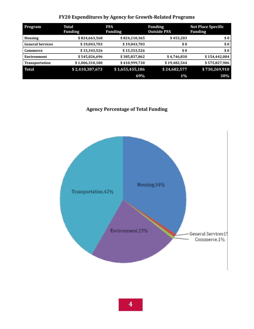#### **FY20 Expenditures by Agency for Growth-Related Programs**

| <b>Program</b>          | Total<br><b>Funding</b> | <b>PFA</b><br><b>Funding</b> | <b>Funding</b><br><b>Outside PFA</b> | <b>Not Place Specific</b><br><b>Funding</b> |
|-------------------------|-------------------------|------------------------------|--------------------------------------|---------------------------------------------|
| <b>Housing</b>          | \$824,663,568           | \$824,210,365                | \$453,203                            | \$0                                         |
| <b>General Services</b> | \$19,043,703            | \$19,043,703                 | \$0                                  | \$0                                         |
| Commerce                | \$15,343,526            | \$15,353,526                 | \$0                                  | \$0                                         |
| Environment             | \$545,026,696           | \$385,837,862                | \$4,746,830                          | \$154,442,004                               |
| <b>Transportation</b>   | \$1,006,310,180         | \$410,999,730                | \$19,482,544                         | \$575,827,906                               |
| <b>Total</b>            | \$2,410,387,673         | \$1,655,435,186              | \$24,682,577                         | \$730,269,910                               |
|                         |                         | 69%                          | 1%                                   | 30%                                         |

#### **Agency Percentage of Total Funding**

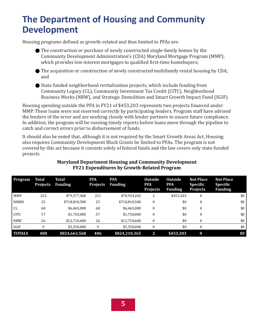### **The Department of Housing and Community Development**

Housing programs defined as growth-related and thus limited to PFAs are:

- $\bullet$  The construction or purchase of newly constructed single-family homes by the Community Development Administration's (CDA) Maryland Mortgage Program (MMP), which provides low interest mortgages to qualified first-time homebuyers;
- The acquisition or construction of newly constructed multifamily rental housing by CDA; and
- $\bullet$  State funded neighborhood revitalization projects, which include funding from Community Legacy (CL), Community Investment Tax Credit (CITC), Neighborhood Business Works (NBW), and Strategic Demolition and Smart Growth Impact Fund (SGIF).

Housing spending outside the PFA in FY21 of \$453,203 represents two projects financed under MMP. These loans were not reserved correctly by participating lenders. Program staff have advised the lenders of the error and are working closely with lender partners to assure future compliance. In addition, the program will be running timely reports before loans move through the pipeline to catch and correct errors prior to disbursement of funds.

It should also be noted that, although it is not required by the Smart Growth Areas Act, Housing also requires Community Development Block Grants be limited to PFAs. The program is not covered by this act because it consists solely of federal funds and the law covers only state-funded projects.

| <b>Program</b> | <b>Total</b><br><b>Projects</b> | <b>Total</b><br><b>Funding</b> | <b>PFA</b><br><b>Projects</b> | <b>PFA</b><br><b>Funding</b> | <b>Outside</b><br><b>PFA</b><br><b>Projects</b> | <b>Outside</b><br><b>PFA</b><br><b>Funding</b> | <b>Not Place</b><br><b>Specific</b><br><b>Projects</b> | <b>Not Place</b><br><b>Specific</b><br><b>Funding</b> |
|----------------|---------------------------------|--------------------------------|-------------------------------|------------------------------|-------------------------------------------------|------------------------------------------------|--------------------------------------------------------|-------------------------------------------------------|
| MMP            | 223                             | \$79,377,468                   | 221                           | \$78,924,265                 | 2                                               | \$453,203                                      | 0                                                      | \$0                                                   |
| <b>NMRH</b>    | 25                              | \$718,810,500                  | 25                            | \$718,810,500                | $\theta$                                        | \$0                                            | $\mathbf{0}$                                           | \$0                                                   |
| CL             | 68                              | \$6,465,000                    | 68                            | \$6,465,000                  | $\theta$                                        | \$0                                            | $\mathbf{0}$                                           | \$0                                                   |
| <b>CITC</b>    | 57                              | \$1,750,000                    | 57                            | \$1,750,000                  | $\theta$                                        | \$0                                            | $\mathbf{0}$                                           | \$0                                                   |
| <b>NBW</b>     | 26                              | \$12,710,600                   | 26                            | \$12,710,600                 | $\theta$                                        | \$0                                            | $\mathbf{0}$                                           | \$0                                                   |
| SGIF           | 9                               | \$5,550,000                    | 9                             | \$5,550,000                  | $\theta$                                        | \$0                                            | $\mathbf{0}$                                           | \$0                                                   |
| <b>TOTALS</b>  | 408                             | \$824,663,568                  | 406                           | \$824,210,365                | 2                                               | \$453,203                                      | $\bf{0}$                                               | \$0                                                   |

#### **Maryland Department Housing and Community Development FY21 Expenditures by Growth-Related Program**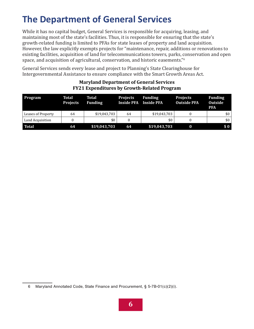# **The Department of General Services**

While it has no capital budget, General Services is responsible for acquiring, leasing, and maintaining most of the state's facilities. Thus, it is responsible for ensuring that the state's growth-related funding is limited to PFAs for state leases of property and land acquisition. However, the law explicitly exempts projects for "maintenance, repair, additions or renovations to existing facilities, acquisition of land for telecommunications towers, parks, conservation and open space, and acquisition of agricultural, conservation, and historic easements."<sup>6</sup>

General Services sends every lease and project to Planning's State Clearinghouse for Intergovernmental Assistance to ensure compliance with the Smart Growth Areas Act.

| Program            | Total<br><b>Projects</b> | Total<br><b>Funding</b> | <b>Projects</b><br><b>Inside PFA</b> | <b>Funding</b><br><b>Inside PFA</b> | <b>Projects</b><br><b>Outside PFA</b> | <b>Funding</b><br><b>Outside</b><br><b>PFA</b> |
|--------------------|--------------------------|-------------------------|--------------------------------------|-------------------------------------|---------------------------------------|------------------------------------------------|
| Leases of Property | 64                       | \$19,043,703            | 64                                   | \$19,043,703                        |                                       | \$0 <sub>1</sub>                               |
| Land Acquisition   |                          | \$0                     |                                      | \$0                                 |                                       | \$0                                            |
| <b>Total</b>       | 64                       | \$19,043,703            | 64                                   | \$19,043,703                        |                                       | \$0\$                                          |

#### **Maryland Department of General Services FY21 Expenditures by Growth-Related Program**

<sup>6</sup> Maryland Annotated Code, State Finance and Procurement, § 5-7B-01(c)(2)(i).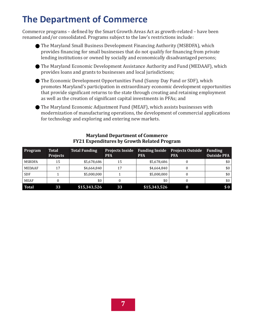# **The Department of Commerce**

Commerce programs – defined by the Smart Growth Areas Act as growth-related – have been renamed and/or consolidated. Programs subject to the law's restrictions include:

- **The Maryland Small Business Development Financing Authority (MSBDFA), which** provides financing for small businesses that do not qualify for financing from private lending institutions or owned by socially and economically disadvantaged persons;
- **The Maryland Economic Development Assistance Authority and Fund (MEDAAF), which** provides loans and grants to businesses and local jurisdictions;
- **•** The Economic Development Opportunities Fund (Sunny Day Fund or SDF), which promotes Maryland's participation in extraordinary economic development opportunities that provide significant returns to the state through creating and retaining employment as well as the creation of significant capital investments in PFAs; and
- **•** The Maryland Economic Adjustment Fund (MEAF), which assists businesses with modernization of manufacturing operations, the development of commercial applications for technology and exploring and entering new markets.

| <b>Program</b> | Total<br><b>Projects</b> | <b>Total Funding</b> | <b>Projects Inside</b><br><b>PFA</b> | <b>Funding Inside</b><br><b>PFA</b> | <b>Projects Outside</b><br><b>PFA</b> | <b>Funding</b><br><b>Outside PFA</b> |
|----------------|--------------------------|----------------------|--------------------------------------|-------------------------------------|---------------------------------------|--------------------------------------|
| MSBDFA         | 15                       | \$5,678,686          | 15                                   | \$5,678,686                         |                                       | \$0                                  |
| MEDAAF         | 17                       | \$4,664,840          | 17                                   | \$4,664,840                         |                                       | \$0                                  |
| <b>SDF</b>     |                          | \$5,000,000          |                                      | \$5,000,000                         |                                       | \$0                                  |
| MEAF           |                          | \$0                  |                                      | \$0                                 |                                       | \$0                                  |
| <b>Total</b>   | 33                       | \$15,343,526         | 33                                   | \$15,343,526                        |                                       |                                      |

#### **Maryland Department of Commerce FY21 Expenditures by Growth Related Program**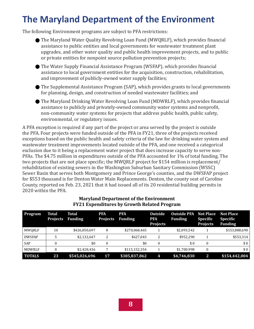# **The Maryland Department of the Environment**

The following Environment programs are subject to PFA restrictions:

- **•** The Maryland Water Quality Revolving Loan Fund (MWQRLF), which provides financial assistance to public entities and local governments for wastewater treatment plant upgrades, and other water quality and public health improvement projects, and to public or private entities for nonpoint source pollution prevention projects;
- **•** The Water Supply Financial Assistance Program (WSFAP), which provides financial assistance to local government entities for the acquisition, construction, rehabilitation, and improvement of publicly-owned water supply facilities;
- The Supplemental Assistance Program (SAP), which provides grants to local governments for planning, design, and construction of needed wastewater facilities; and
- **•** The Maryland Drinking Water Revolving Loan Fund (MDWRLF), which provides financial assistance to publicly and privately-owned community water systems and nonprofit, non-community water systems for projects that address public health, public safety, environmental, or regulatory issues.

A PFA exception is required if any part of the project or area served by the project is outside the PFA. Four projects were funded outside of the PFA in FY21, three of the projects received exceptions based on the public health and safety criteria of the law for drinking water system and wastewater treatment improvements located outside of the PFA, and one received a categorical exclusion due to it being a replacement water project that does increase capacity to serve non-PFAs. The \$4.75 million in expenditures outside of the PFA accounted for 1% of total funding. The two projects that are not place specific; the MWQRLF project for \$154 million is replacement/ rehabilitation of existing sewers in the Washington Suburban Sanitary Commission (WSSC) Sewer Basin that serves both Montgomery and Prince George's counties, and the DWSFAP project for \$553 thousand is for Denton Water Main Replacements. Denton, the county seat of Caroline County, reported on Feb. 23, 2021 that it had issued all of its 20 residential building permits in 2020 within the PFA.

| <b>Program</b> | Total<br><b>Projects</b> | Total<br><b>Funding</b> | <b>PFA</b><br><b>Projects</b> | <b>PFA</b><br><b>Funding</b> | <b>Outside</b><br><b>PFA</b><br><b>Projects</b> | <b>Outside PFA</b><br><b>Funding</b> | <b>Not Place</b><br><b>Specific</b><br><b>Projects</b> | <b>Not Place</b><br>Specific<br><b>Funding</b> |
|----------------|--------------------------|-------------------------|-------------------------------|------------------------------|-------------------------------------------------|--------------------------------------|--------------------------------------------------------|------------------------------------------------|
| MWORLF         | 10                       | \$426,050,697           | 8                             | \$270,068,465                |                                                 | \$2,093,542                          |                                                        | \$153,888,690                                  |
| <b>DWSFAP</b>  |                          | \$2,132,647             | 2                             | \$627.043                    |                                                 | \$952.290                            |                                                        | \$553,314                                      |
| <b>SAP</b>     |                          | \$0                     | 0                             | \$0                          |                                                 | \$0                                  | $\Omega$                                               | \$0                                            |
| MDWRLF         | 8                        | \$2,428,436             |                               | \$115,152,354                |                                                 | \$1,700,998                          |                                                        | \$0                                            |
| <b>TOTALS</b>  | 23                       | \$545,026,696           | 17                            | \$385,837,862                | 4                                               | \$4,746,830                          |                                                        | \$154,442,004                                  |

#### **Maryland Department of the Environment FY21 Expenditures by Growth Related Program**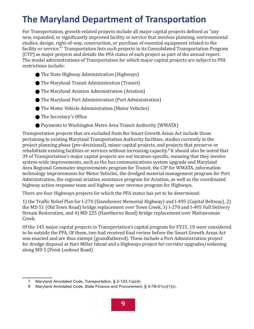# **The Maryland Department of Transportation**

For Transportation, growth-related projects include all major capital projects defined as "any new, expanded, or significantly improved facility or service that involves planning, environmental studies, design, right-of-way, construction, or purchase of essential equipment related to the facility or service."<sup>7</sup> Transportation lists such projects in its Consolidated Transportation Program (CTP) as major projects and details the PFA status of each project as part of the annual report. The modal administrations of Transportation for which major capital projects are subject to PFA restrictions include:

- **The State Highway Administration (Highways)**
- **The Maryland Transit Administration (Transit)**
- **The Maryland Aviation Administration (Aviation)**
- The Maryland Port Administration (Port Administration)
- **The Motor Vehicle Administration (Motor Vehicles)**
- **•** The Secretary's Office
- Payments to Washington Metro Area Transit Authority (WMATA)

Transportation projects that are excluded from the Smart Growth Areas Act include those pertaining to existing Maryland Transportation Authority facilities, studies currently in the project planning phase (pre-decisional), minor capital projects, and projects that preserve or rehabilitate existing facilities or services without increasing capacity.<sup>8</sup> It should also be noted that 39 of Transportation's major capital projects are not location-specific, meaning that they involve system-wide improvements, such as the bus communications system upgrade and Maryland Area Regional Commuter improvements program for Transit, the CIP for WMATA, information technology improvements for Motor Vehicles, the dredged material management program for Port Administration, the regional aviation assistance program for Aviation, as well as the coordinated highway action response team and highway user revenue program for Highways.

There are four Highways projects for which the PFA status has yet to be determined:

1) the Traffic Relief Plan for I-270 (Eisenhower Memorial Highway) and I-495 (Capital Beltway), 2) the MD 51 (Old Town Road) bridge replacement over Town Creek, 3) I-270 and I-495 Full Delivery Stream Restoration, and 4) MD 225 (Hawthorne Road) bridge replacement over Mattawoman Creek.

Of the 145 major capital projects in Transportation's capital program for FY21, 10 were considered to be outside the PFA. Of these, two had received final review before the Smart Growth Areas Act was enacted and are thus exempt (grandfathered). These include a Port Administration project for dredge disposal at Hart Miller Island and a Highways project for corridor upgrades/widening along MD 5 (Point Lookout Road)

<sup>7</sup> Maryland Annotated Code, Transportation, § 2-103.1(a)(4).

<sup>8</sup> Maryland Annotated Code, State Finance and Procurement, § 5-7B-01(c)(1)(i).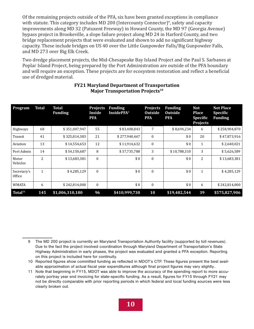Of the remaining projects outside of the PFA, six have been granted exceptions in compliance with statute. This category includes MD 200 (Intercounty Connector)<sup>9</sup>, safety and capacity improvements along MD 32 (Patuxent Freeway) in Howard County, the MD 97 (Georgia Avenue) bypass project in Brookeville, a slope failure project along MD 24 in Harford County, and two bridge replacement projects that were evaluated and shown to add no significant highway capacity. These include bridges on US 40 over the Little Gunpowder Falls/Big Gunpowder Falls, and MD 273 over Big Elk Creek.

Two dredge placement projects, the Mid-Chesapeake Bay Island Project and the Paul S. Sarbanes at Poplar Island Project, being prepared by the Port Administration are outside of the PFA boundary and will require an exception. These projects are for ecosystem restoration and reflect a beneficial use of dredged material.

| Program               | <b>Total</b>   | <b>Total</b><br><b>Funding</b> | <b>Projects</b><br>Inside<br><b>PFA</b> | <b>Funding</b><br><b>InsidePFA</b> <sup>8</sup> | <b>Projects</b><br><b>Outside</b><br><b>PFA</b> | <b>Funding</b><br><b>Outside</b><br><b>PFA</b> | <b>Not</b><br><b>Place</b><br><b>Specific</b><br><b>Projects</b> | <b>Not Place</b><br><b>Specific</b><br><b>Funding</b> |
|-----------------------|----------------|--------------------------------|-----------------------------------------|-------------------------------------------------|-------------------------------------------------|------------------------------------------------|------------------------------------------------------------------|-------------------------------------------------------|
| Highways              | 68             | \$351,007,947                  | 55                                      | \$83,408,843                                    | 7                                               | \$8,694,234                                    | 6                                                                | \$258,904,870                                         |
| Transit               | 41             | \$325,814,383                  | 21                                      | \$277,940,467                                   | $\theta$                                        | \$0                                            | 20                                                               | \$47,873,916                                          |
| Aviation              | 13             | \$14,554,653                   | 12                                      | \$11,914,632                                    | $\mathbf{0}$                                    | \$0                                            | $\mathbf{1}$                                                     | \$2,640,021                                           |
| Port Admin            | 14             | \$54,150,687                   | 8                                       | \$37,735,788                                    | 3                                               | \$10,788,310                                   | 3                                                                | \$5,626,589                                           |
| Motor<br>Vehicles     | $\overline{c}$ | \$13,683,381                   | $\Omega$                                | \$0                                             | $\theta$                                        | \$0                                            | 2                                                                | \$13,683,381                                          |
| Secretary's<br>Office | $\mathbf{1}$   | \$4,285,129                    | $\theta$                                | \$0                                             | $\theta$                                        | \$0                                            | 1                                                                | \$4,285,129                                           |
| <b>WMATA</b>          | 6              | \$242,814,000                  | $\mathbf{0}$                            | \$0                                             | $\mathbf{0}$                                    | \$0                                            | 6                                                                | \$242,814,000                                         |
| Total <sup>11</sup>   | 145            | \$1,006,310,180                | 96                                      | \$410,999,730                                   | 10                                              | \$19,482,544                                   | 39                                                               | \$575,827,906                                         |

#### **FY21 Maryland Department of Transportation Major Transportation Projects10**

<sup>9</sup> The MD 200 project is currently an Maryland Transportation Authority facility (supported by toll revenues). Due to the fact the project involved coordination through Maryland Department of Transportation's State Highway Administration in early phases, the project was evaluated and granted a PFA exception. Reporting on this project is included here for continuity.

<sup>10</sup> Reported figures show committed funding as reflected in MDOT's CTP. These figures present the best available approximation of actual fiscal year expenditures although final project figures may vary slightly..

<sup>11</sup> Note that beginning in FY15, MDOT was able to improve the accuracy of the spending report to more accurately portray year end invoicing for state-specific funding. As a result, figures for FY15 through FY21 may not be directly comparable with prior reporting periods in which federal and local funding sources were less clearly broken out.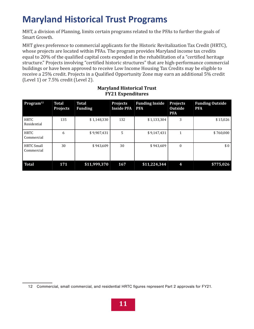# **Maryland Historical Trust Programs**

MHT, a division of Planning, limits certain programs related to the PFAs to further the goals of Smart Growth.

MHT gives preference to commercial applicants for the Historic Revitalization Tax Credit (HRTC), whose projects are located within PFAs. The program provides Maryland income tax credits equal to 20% of the qualified capital costs expended in the rehabilitation of a "certified heritage structure." Projects involving "certified historic structures" that are high-performance commercial buildings or have been approved to receive Low Income Housing Tax Credits may be eligible to receive a 25% credit. Projects in a Qualified Opportunity Zone may earn an additional 5% credit (Level 1) or 7.5% credit (Level 2).

| Program <sup>12</sup>           | <b>Total</b><br><b>Projects</b> | <b>Total</b><br><b>Funding</b> | <b>Projects</b><br><b>Inside PFA</b> | <b>Funding Inside</b><br><b>PFA</b> | <b>Projects</b><br><b>Outside</b><br><b>PFA</b> | <b>Funding Outside</b><br><b>PFA</b> |
|---------------------------------|---------------------------------|--------------------------------|--------------------------------------|-------------------------------------|-------------------------------------------------|--------------------------------------|
| <b>HRTC</b><br>Residential      | 135                             | \$1,148,330                    | 132                                  | \$1,133,304                         | 3                                               | \$15,026                             |
| <b>HRTC</b><br>Commercial       | 6                               | \$9,907,431                    | 5                                    | \$9,147,431                         | 1                                               | \$760,000                            |
| <b>HRTC Small</b><br>Commercial | 30                              | \$943,609                      | 30                                   | \$943,609                           | $\mathbf{0}$                                    | \$0                                  |
| <b>Total</b>                    | 171                             | \$11,999,370                   | 167                                  | \$11,224,344                        | 4                                               | \$775,026                            |

#### **Maryland Historical Trust FY21 Expenditures**

<sup>12</sup> Commercial, small commercial, and residential HRTC figures represent Part 2 approvals for FY21.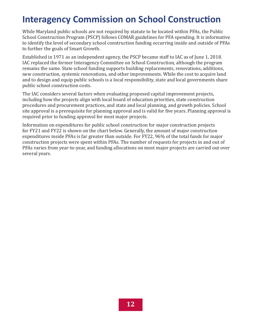### **Interagency Commission on School Construction**

While Maryland public schools are not required by statute to be located within PFAs, the Public School Construction Program (PSCP) follows COMAR guidelines for PFA spending. It is informative to identify the level of secondary school construction funding occurring inside and outside of PFAs to further the goals of Smart Growth.

Established in 1971 as an independent agency, the PSCP became staff to IAC as of June 1, 2018. IAC replaced the former Interagency Committee on School Construction, although the program remains the same. State school funding supports building replacements, renovations, additions, new construction, systemic renovations, and other improvements. While the cost to acquire land and to design and equip public schools is a local responsibility, state and local governments share public school construction costs.

The IAC considers several factors when evaluating proposed capital improvement projects, including how the projects align with local board of education priorities, state construction procedures and procurement practices, and state and local planning, and growth policies. School site approval is a prerequisite for planning approval and is valid for five years. Planning approval is required prior to funding approval for most major projects.

Information on expenditures for public school construction for major construction projects for FY21 and FY22 is shown on the chart below. Generally, the amount of major construction expenditures inside PFAs is far greater than outside. For FY22, 96% of the total funds for major construction projects were spent within PFAs. The number of requests for projects in and out of PFAs varies from year-to-year, and funding allocations on most major projects are carried out over several years.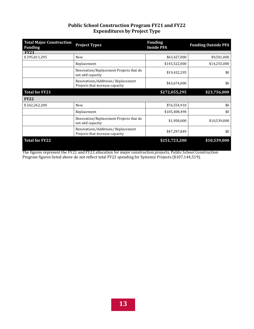#### **Public School Construction Program FY21 and FY22 Expenditures by Project Type**

| <b>Total Major Construction</b><br><b>Funding</b> | <b>Project Types</b>                                                 | <b>Funding</b><br><b>Inside PFA</b> | <b>Funding Outside PFA</b> |
|---------------------------------------------------|----------------------------------------------------------------------|-------------------------------------|----------------------------|
| FY21                                              |                                                                      |                                     |                            |
| \$295,811,295                                     | New                                                                  | \$63,427,000                        | \$9,501,000                |
|                                                   | Replacement                                                          | \$145,522,000                       | \$14,255,000               |
|                                                   | Renovation/Replacement Projects that do<br>not add capacity          | \$19,432,295                        | \$0                        |
|                                                   | Renovations/Additions/Replacement<br>Projects that increase capacity | \$43,674,000                        | \$0                        |
| <b>Total for FY21</b>                             |                                                                      | \$272,055,295                       | \$23,756,000               |
| <b>FY22</b>                                       |                                                                      |                                     |                            |
| \$262,262,200                                     | <b>New</b>                                                           | \$76,554,910                        | \$0                        |
|                                                   | Replacement                                                          | \$105,408,490                       | \$0                        |
|                                                   | Renovation/Replacement Projects that do<br>not add capacity          | \$1,958,000                         | \$10,539,000               |
|                                                   | Renovations/Additions/Replacement<br>Projects that increase capacity | \$47,297,849                        | \$0                        |
| <b>Total for FY22</b>                             |                                                                      | \$251,723,200                       | \$10,539,000               |

The figures represent the FY21 and FY22 allocation for major construction projects. Public School Construction Program figures listed above do not reflect total FY22 spending for Systemic Projects (\$107,144,519).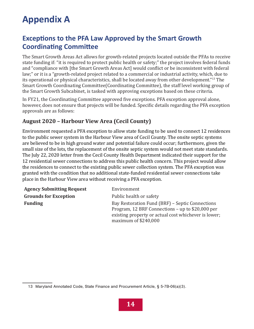# **Appendix A**

### **Exceptions to the PFA Law Approved by the Smart Growth Coordinating Committee**

The Smart Growth Areas Act allows for growth-related projects located outside the PFAs to receive state funding if: "it is required to protect public health or safety;" the project involves federal funds and "compliance with [the Smart Growth Areas Act] would conflict or be inconsistent with federal law;" or it is a "growth-related project related to a commercial or industrial activity, which, due to its operational or physical characteristics, shall be located away from other development."13 The Smart Growth Coordinating Committee(Coordinating Committee), the staff level working group of the Smart Growth Subcabinet, is tasked with approving exceptions based on these criteria.

In FY21, the Coordinating Committee approved five exceptions. PFA exception approval alone, however, does not ensure that projects will be funded. Specific details regarding the PFA exception approvals are as follows:

#### **August 2020 – Harbour View Area (Cecil County)**

Environment requested a PFA exception to allow state funding to be used to connect 12 residences to the public sewer system in the Harbour View area of Cecil County. The onsite septic systems are believed to be in high ground water and potential failure could occur; furthermore, given the small size of the lots, the replacement of the onsite septic system would not meet state standards. The July 22, 2020 letter from the Cecil County Health Department indicated their support for the 12 residential sewer connections to address this public health concern. This project would allow the residences to connect to the existing public sewer collection system. The PFA exception was granted with the condition that no additional state-funded residential sewer connections take place in the Harbour View area without receiving a PFA exception.

| <b>Agency Submitting Request</b> | Environment                                                                                                                                                                          |
|----------------------------------|--------------------------------------------------------------------------------------------------------------------------------------------------------------------------------------|
| <b>Grounds for Exception</b>     | Public health or safety                                                                                                                                                              |
| <b>Funding</b>                   | Bay Restoration Fund (BRF) – Septic Connections<br>Program, 12 BRF Connections – up to \$20,000 per<br>existing property or actual cost whichever is lower;<br>maximum of $$240,000$ |

<sup>13</sup> Maryland Annotated Code, State Finance and Procurement Article, § 5-7B-06(a)(3).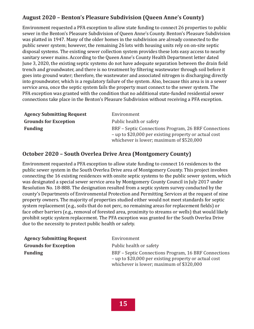#### **August 2020 – Benton's Pleasure Subdivision (Queen Anne's County)**

Environment requested a PFA exception to allow state funding to connect 26 properties to public sewer in the Benton's Pleasure Subdivision of Queen Anne's County. Benton's Pleasure Subdivision was platted in 1947. Many of the older homes in the subdivision are already connected to the public sewer system; however, the remaining 26 lots with housing units rely on on-site septic disposal systems. The existing sewer collection system provides these lots easy access to nearby sanitary sewer mains. According to the Queen Anne's County Health Department letter dated June 3, 2020, the existing septic systems do not have adequate separation between the drain field trench and groundwater, and there is no treatment by filtering wastewater through soil before it goes into ground water; therefore, the wastewater and associated nitrogen is discharging directly into groundwater, which is a regulatory failure of the system. Also, because this area is in a sewer service area, once the septic system fails the property must connect to the sewer system. The PFA exception was granted with the condition that no additional state-funded residential sewer connections take place in the Benton's Pleasure Subdivision without receiving a PFA exception.

| <b>Agency Submitting Request</b> | Environment                                                                                                                                               |
|----------------------------------|-----------------------------------------------------------------------------------------------------------------------------------------------------------|
| <b>Grounds for Exception</b>     | Public health or safety                                                                                                                                   |
| <b>Funding</b>                   | BRF – Septic Connections Program, 26 BRF Connections<br>- up to \$20,000 per existing property or actual cost<br>whichever is lower; maximum of \$520,000 |

#### **October 2020 – South Overlea Drive Area (Montgomery County)**

Environment requested a PFA exception to allow state funding to connect 16 residences to the public sewer system in the South Overlea Drive area of Montgomery County. This project involves connecting the 16 existing residences with onsite septic systems to the public sewer system, which was designated a special sewer service area by Montgomery County Council in July 2017 under Resolution No. 18-888. The designation resulted from a septic system survey conducted by the county's Departments of Environmental Protection and Permitting Services at the request of nine property owners. The majority of properties studied either would not meet standards for septic system replacement (e.g., soils that do not perc, no remaining areas for replacement fields) or face other barriers (e.g., removal of forested area, proximity to streams or wells) that would likely prohibit septic system replacement. The PFA exception was granted for the South Overlea Drive due to the necessity to protect public health or safety.

| <b>Agency Submitting Request</b> | Environment                                                                                                                                               |
|----------------------------------|-----------------------------------------------------------------------------------------------------------------------------------------------------------|
| <b>Grounds for Exception</b>     | Public health or safety                                                                                                                                   |
| <b>Funding</b>                   | BRF – Septic Connections Program, 16 BRF Connections<br>- up to \$20,000 per existing property or actual cost<br>whichever is lower; maximum of \$320,000 |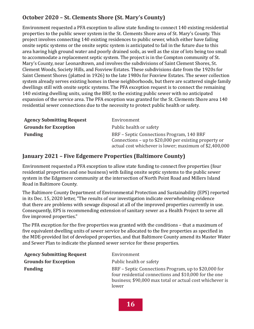#### **October 2020 – St. Clements Shore (St. Mary's County)**

Environment requested a PFA exception to allow state funding to connect 140 existing residential properties to the public sewer system in the St. Clements Shore area of St. Mary's County. This project involves connecting 140 existing residences to public sewer, which either have failing onsite septic systems or the onsite septic system is anticipated to fail in the future due to this area having high ground water and poorly drained soils, as well as the size of lots being too small to accommodate a replacement septic system. The project is in the Compton community of St. Mary's County, near Leonardtown, and involves the subdivisions of Saint Clement Shores, St. Clement Woods, Society Hills, and Foxview Estates. These subdivisions date from the 1920s for Saint Clement Shores (platted in 1926) to the late 1980s for Foxview Estates. The sewer collection system already serves existing homes in these neighborhoods, but there are scattered single family dwellings still with onsite septic systems. The PFA exception request is to connect the remaining 140 existing dwelling units, using the BRF, to the existing public sewer with no anticipated expansion of the service area. The PFA exception was granted for the St. Clements Shore area 140 residential sewer connections due to the necessity to protect public health or safety.

| <b>Agency Submitting Request</b> | Environment                                                                                                                                                   |
|----------------------------------|---------------------------------------------------------------------------------------------------------------------------------------------------------------|
| <b>Grounds for Exception</b>     | Public health or safety                                                                                                                                       |
| <b>Funding</b>                   | BRF – Septic Connections Program, 140 BRF<br>Connections – up to $$20,000$ per existing property or<br>actual cost whichever is lower; maximum of \$2,400,000 |

#### **January 2021 – Five Edgemere Properties (Baltimore County)**

Environment requested a PFA exception to allow state funding to connect five properties (four residential properties and one business) with failing onsite septic systems to the public sewer system in the Edgemere community at the intersection of North Point Road and Millers Island Road in Baltimore County.

The Baltimore County Department of Environmental Protection and Sustainability (EPS) reported in its Dec. 15, 2020 letter, "The results of our investigation indicate overwhelming evidence that there are problems with sewage disposal at all of the improved properties currently in use. Consequently, EPS is recommending extension of sanitary sewer as a Health Project to serve all five improved properties."

The PFA exception for the five properties was granted with the conditions – that a maximum of five equivalent dwelling units of sewer service be allocated to the five properties as specified in the MDE-provided list of developed properties, and that Baltimore County amend its Master Water and Sewer Plan to indicate the planned sewer service for these properties.

| <b>Agency Submitting Request</b> | Environment                                                                                                                                                                        |
|----------------------------------|------------------------------------------------------------------------------------------------------------------------------------------------------------------------------------|
| <b>Grounds for Exception</b>     | Public health or safety                                                                                                                                                            |
| <b>Funding</b>                   | BRF – Septic Connections Program, up to \$20,000 for<br>four residential connections and \$10,000 for the one<br>business; \$90,000 max total or actual cost whichever is<br>lower |

**16**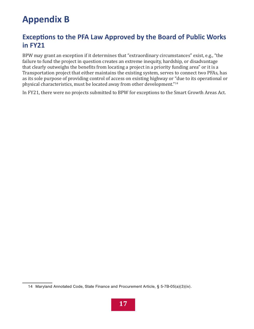# **Appendix B**

### **Exceptions to the PFA Law Approved by the Board of Public Works in FY21**

BPW may grant an exception if it determines that "extraordinary circumstances" exist, e.g., "the failure to fund the project in question creates an extreme inequity, hardship, or disadvantage that clearly outweighs the benefits from locating a project in a priority funding area" or it is a Transportation project that either maintains the existing system, serves to connect two PFAs, has as its sole purpose of providing control of access on existing highway or "due to its operational or physical characteristics, must be located away from other development."<sup>14</sup>

In FY21, there were no projects submitted to BPW for exceptions to the Smart Growth Areas Act.

<sup>14</sup> Maryland Annotated Code, State Finance and Procurement Article, § 5-7B-05(a)(3)(iv).

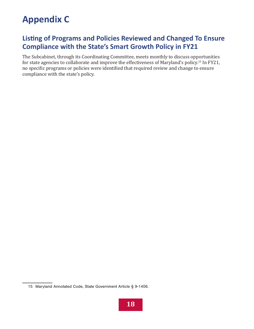## **Appendix C**

### **Listing of Programs and Policies Reviewed and Changed To Ensure Compliance with the State's Smart Growth Policy in FY21**

The Subcabinet, through its Coordinating Committee, meets monthly to discuss opportunities for state agencies to collaborate and improve the effectiveness of Maryland's policy.15 In FY21, no specific programs or policies were identified that required review and change to ensure compliance with the state's policy.

<sup>15</sup> Maryland Annotated Code, State Government Article § 9-1406.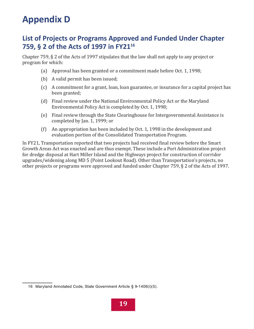### **Appendix D**

#### **List of Projects or Programs Approved and Funded Under Chapter 759, § 2 of the Acts of 1997 in FY21<sup>16</sup>**

Chapter 759, § 2 of the Acts of 1997 stipulates that the law shall not apply to any project or program for which:

- (a) Approval has been granted or a commitment made before Oct. 1, 1998;
- (b) A valid permit has been issued;
- (c) A commitment for a grant, loan, loan guarantee, or insurance for a capital project has been granted;
- (d) Final review under the National Environmental Policy Act or the Maryland Environmental Policy Act is completed by Oct. 1, 1998;
- (e) Final review through the State Clearinghouse for Intergovernmental Assistance is completed by Jan. 1, 1999; or
- (f) An appropriation has been included by Oct. 1, 1998 in the development and evaluation portion of the Consolidated Transportation Program.

In FY21, Transportation reported that two projects had received final review before the Smart Growth Areas Act was enacted and are thus exempt. These include a Port Administration project for dredge disposal at Hart Miller Island and the Highways project for construction of corridor upgrades/widening along MD 5 (Point Lookout Road). Other than Transportation's projects, no other projects or programs were approved and funded under Chapter 759, § 2 of the Acts of 1997.

<sup>16</sup> Maryland Annotated Code, State Government Article § 9-1406(i)(5).